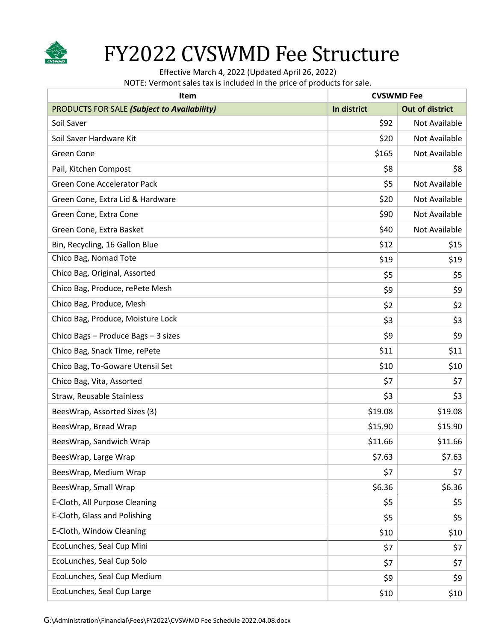

## FY2022 CVSWMD Fee Structure

Effective March 4, 2022 (Updated April 26, 2022)

NOTE: Vermont sales tax is included in the price of products for sale.

| <b>Item</b>                                        | <b>CVSWMD Fee</b> |                        |
|----------------------------------------------------|-------------------|------------------------|
| <b>PRODUCTS FOR SALE (Subject to Availability)</b> | In district       | <b>Out of district</b> |
| Soil Saver                                         | \$92              | Not Available          |
| Soil Saver Hardware Kit                            | \$20              | Not Available          |
| Green Cone                                         | \$165             | Not Available          |
| Pail, Kitchen Compost                              | \$8               | \$8                    |
| Green Cone Accelerator Pack                        | \$5               | Not Available          |
| Green Cone, Extra Lid & Hardware                   | \$20              | <b>Not Available</b>   |
| Green Cone, Extra Cone                             | \$90              | Not Available          |
| Green Cone, Extra Basket                           | \$40              | Not Available          |
| Bin, Recycling, 16 Gallon Blue                     | \$12              | \$15                   |
| Chico Bag, Nomad Tote                              | \$19              | \$19                   |
| Chico Bag, Original, Assorted                      | \$5               | \$5                    |
| Chico Bag, Produce, rePete Mesh                    | \$9               | \$9                    |
| Chico Bag, Produce, Mesh                           | \$2               | \$2                    |
| Chico Bag, Produce, Moisture Lock                  | \$3               | \$3                    |
| Chico Bags - Produce Bags - 3 sizes                | \$9               | \$9                    |
| Chico Bag, Snack Time, rePete                      | \$11              | \$11                   |
| Chico Bag, To-Goware Utensil Set                   | \$10              | \$10                   |
| Chico Bag, Vita, Assorted                          | \$7               | \$7                    |
| Straw, Reusable Stainless                          | \$3               | \$3                    |
| BeesWrap, Assorted Sizes (3)                       | \$19.08           | \$19.08                |
| BeesWrap, Bread Wrap                               | \$15.90           | \$15.90                |
| BeesWrap, Sandwich Wrap                            | \$11.66           | \$11.66                |
| BeesWrap, Large Wrap                               | \$7.63            | \$7.63                 |
| BeesWrap, Medium Wrap                              | \$7               | \$7                    |
| BeesWrap, Small Wrap                               | \$6.36            | \$6.36                 |
| E-Cloth, All Purpose Cleaning                      | \$5               | \$5                    |
| E-Cloth, Glass and Polishing                       | \$5               | \$5                    |
| E-Cloth, Window Cleaning                           | \$10              | \$10                   |
| EcoLunches, Seal Cup Mini                          | \$7               | \$7                    |
| EcoLunches, Seal Cup Solo                          | \$7               | \$7                    |
| EcoLunches, Seal Cup Medium                        | \$9               | \$9                    |
| EcoLunches, Seal Cup Large                         | \$10              | \$10                   |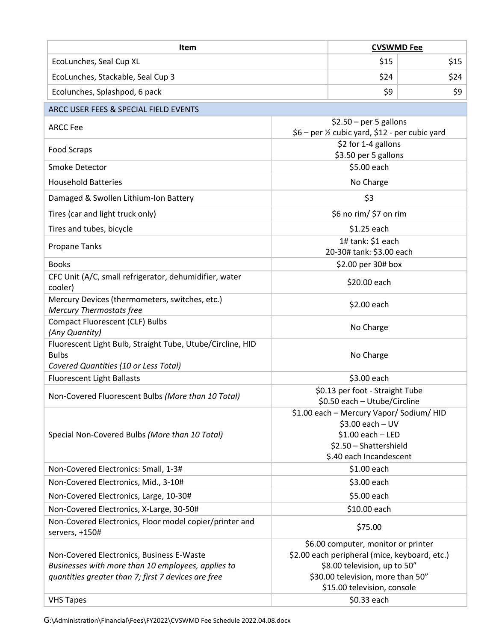| Item                                                                                                                                                   |                                                                          | <b>CVSWMD Fee</b>                                                                                                                                                                                       |      |  |
|--------------------------------------------------------------------------------------------------------------------------------------------------------|--------------------------------------------------------------------------|---------------------------------------------------------------------------------------------------------------------------------------------------------------------------------------------------------|------|--|
| EcoLunches, Seal Cup XL                                                                                                                                |                                                                          | \$15                                                                                                                                                                                                    | \$15 |  |
| EcoLunches, Stackable, Seal Cup 3                                                                                                                      |                                                                          | \$24                                                                                                                                                                                                    | \$24 |  |
| Ecolunches, Splashpod, 6 pack                                                                                                                          |                                                                          | \$9                                                                                                                                                                                                     | \$9  |  |
| ARCC USER FEES & SPECIAL FIELD EVENTS                                                                                                                  |                                                                          |                                                                                                                                                                                                         |      |  |
| <b>ARCC Fee</b>                                                                                                                                        | $$2.50$ – per 5 gallons<br>\$6 - per ½ cubic yard, \$12 - per cubic yard |                                                                                                                                                                                                         |      |  |
| <b>Food Scraps</b>                                                                                                                                     | \$2 for 1-4 gallons<br>\$3.50 per 5 gallons                              |                                                                                                                                                                                                         |      |  |
| Smoke Detector                                                                                                                                         | \$5.00 each                                                              |                                                                                                                                                                                                         |      |  |
| <b>Household Batteries</b>                                                                                                                             | No Charge                                                                |                                                                                                                                                                                                         |      |  |
| Damaged & Swollen Lithium-Ion Battery                                                                                                                  | \$3                                                                      |                                                                                                                                                                                                         |      |  |
| Tires (car and light truck only)                                                                                                                       |                                                                          | \$6 no rim/ \$7 on rim                                                                                                                                                                                  |      |  |
| Tires and tubes, bicycle                                                                                                                               |                                                                          | \$1.25 each                                                                                                                                                                                             |      |  |
| Propane Tanks                                                                                                                                          |                                                                          | 1# tank: \$1 each<br>20-30# tank: \$3.00 each                                                                                                                                                           |      |  |
| <b>Books</b>                                                                                                                                           |                                                                          | \$2.00 per 30# box                                                                                                                                                                                      |      |  |
| CFC Unit (A/C, small refrigerator, dehumidifier, water<br>cooler)                                                                                      |                                                                          | \$20.00 each                                                                                                                                                                                            |      |  |
| Mercury Devices (thermometers, switches, etc.)<br><b>Mercury Thermostats free</b>                                                                      |                                                                          | \$2.00 each                                                                                                                                                                                             |      |  |
| <b>Compact Fluorescent (CLF) Bulbs</b><br>(Any Quantity)                                                                                               |                                                                          | No Charge                                                                                                                                                                                               |      |  |
| Fluorescent Light Bulb, Straight Tube, Utube/Circline, HID<br><b>Bulbs</b><br>Covered Quantities (10 or Less Total)                                    |                                                                          | No Charge                                                                                                                                                                                               |      |  |
| <b>Fluorescent Light Ballasts</b>                                                                                                                      |                                                                          | \$3.00 each                                                                                                                                                                                             |      |  |
| Non-Covered Fluorescent Bulbs (More than 10 Total)                                                                                                     |                                                                          | \$0.13 per foot - Straight Tube<br>\$0.50 each - Utube/Circline                                                                                                                                         |      |  |
| Special Non-Covered Bulbs (More than 10 Total)                                                                                                         |                                                                          | \$1.00 each - Mercury Vapor/ Sodium/ HID<br>$$3.00$ each - UV<br>$$1.00$ each - LED<br>\$2.50 - Shattershield<br>\$.40 each Incandescent                                                                |      |  |
| Non-Covered Electronics: Small, 1-3#                                                                                                                   |                                                                          | \$1.00 each                                                                                                                                                                                             |      |  |
| Non-Covered Electronics, Mid., 3-10#                                                                                                                   |                                                                          | \$3.00 each                                                                                                                                                                                             |      |  |
| Non-Covered Electronics, Large, 10-30#                                                                                                                 |                                                                          | \$5.00 each                                                                                                                                                                                             |      |  |
| Non-Covered Electronics, X-Large, 30-50#                                                                                                               |                                                                          | \$10.00 each                                                                                                                                                                                            |      |  |
| Non-Covered Electronics, Floor model copier/printer and<br>servers, +150#                                                                              |                                                                          | \$75.00                                                                                                                                                                                                 |      |  |
| Non-Covered Electronics, Business E-Waste<br>Businesses with more than 10 employees, applies to<br>quantities greater than 7; first 7 devices are free |                                                                          | \$6.00 computer, monitor or printer<br>\$2.00 each peripheral (mice, keyboard, etc.)<br>\$8.00 television, up to 50"<br>\$30.00 television, more than 50"<br>\$15.00 television, console<br>\$0.33 each |      |  |
| <b>VHS Tapes</b>                                                                                                                                       |                                                                          |                                                                                                                                                                                                         |      |  |

G:\Administration\Financial\Fees\FY2022\CVSWMD Fee Schedule 2022.04.08.docx